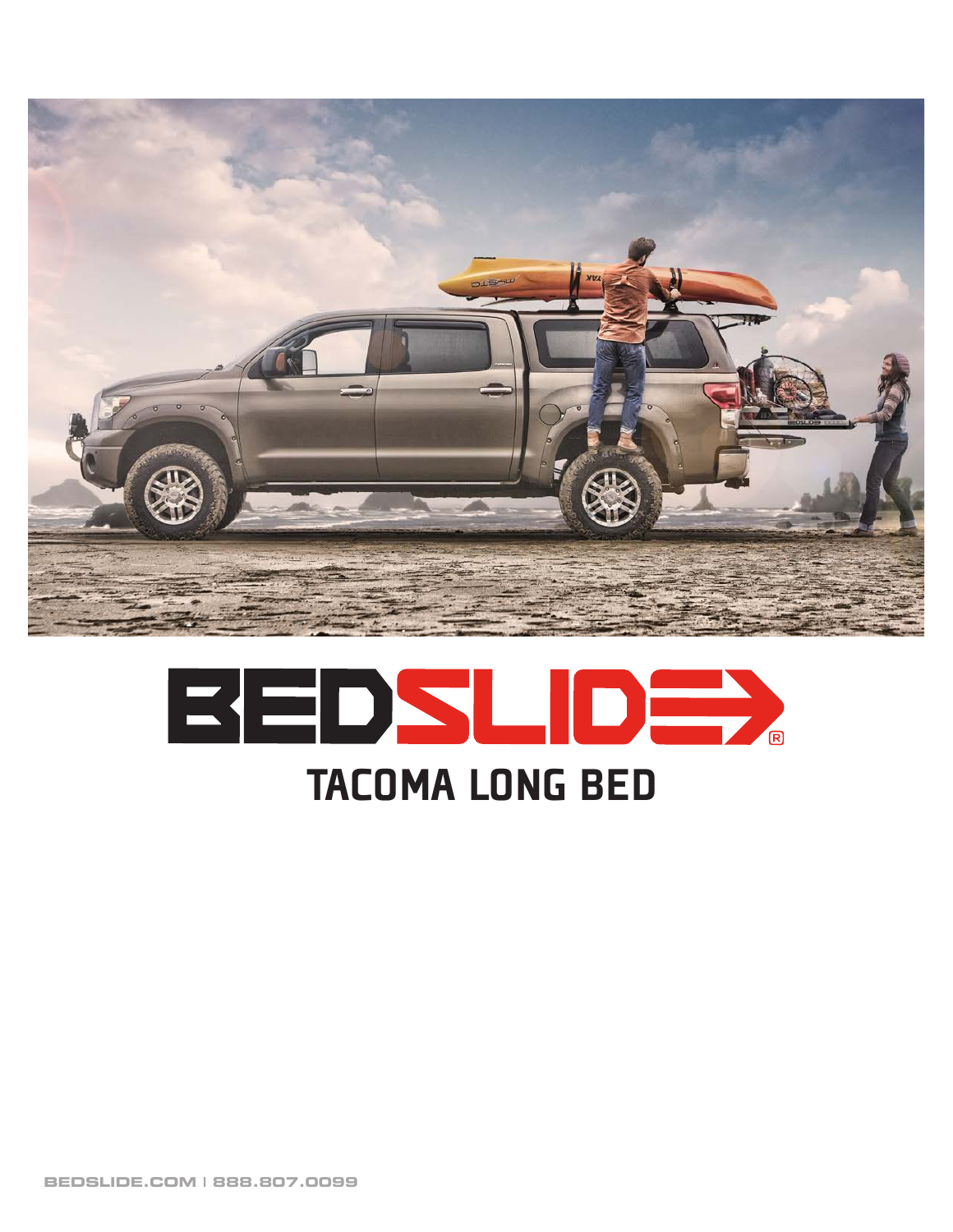



**BEDSLIDE.COM | 888.807.0099**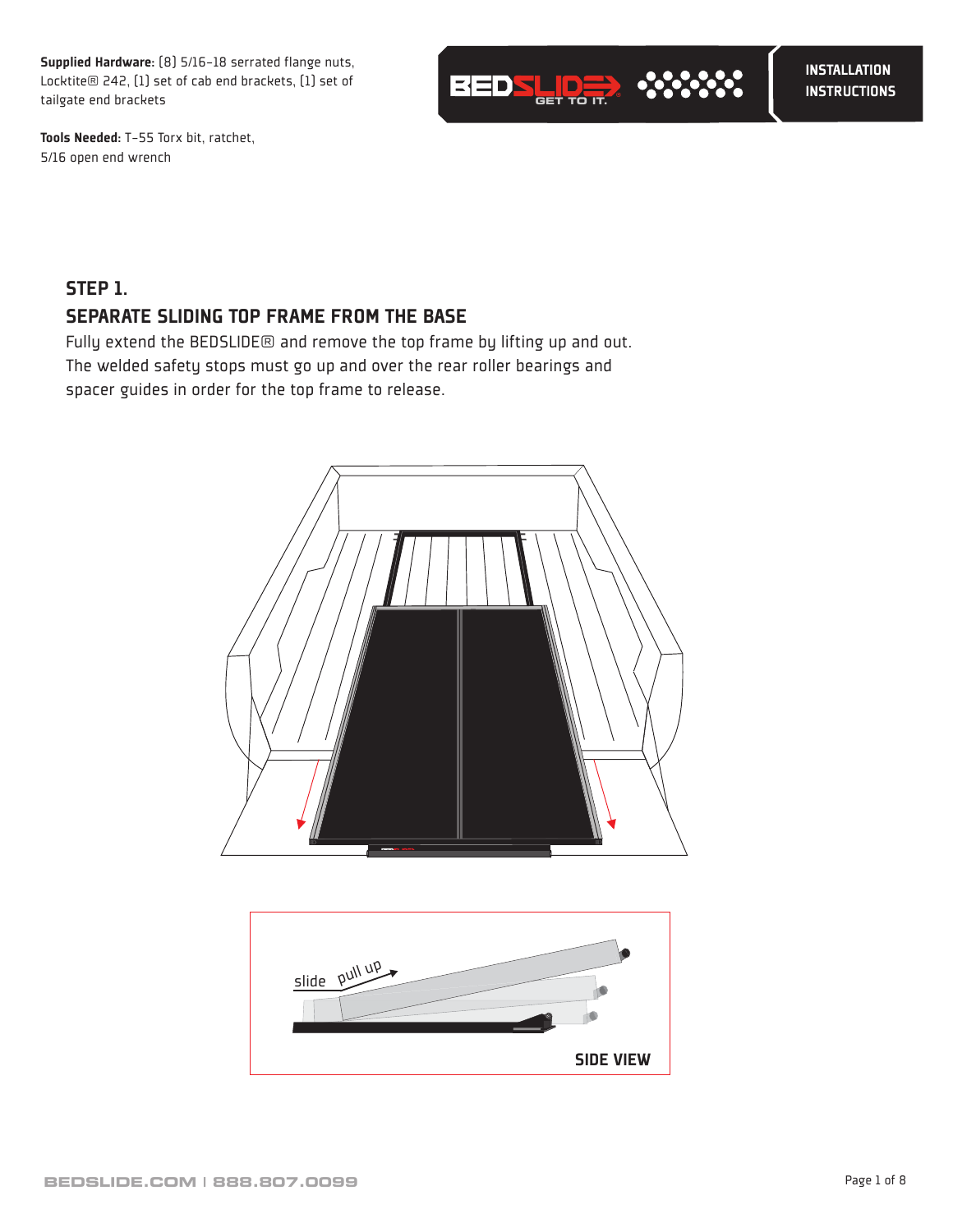Supplied Hardware: (8) 5/16-18 serrated flange nuts, Locktite® 242, (1) set of cab end brackets, (1) set of tailgate end brackets



Tools Needed: T-55 Torx bit, ratchet, 5/16 open end wrench

# STEP 1. SEPARATE SLIDING TOP FRAME FROM THE BASE

Fully extend the BEDSLIDE® and remove the top frame by lifting up and out. The welded safety stops must go up and over the rear roller bearings and spacer guides in order for the top frame to release.



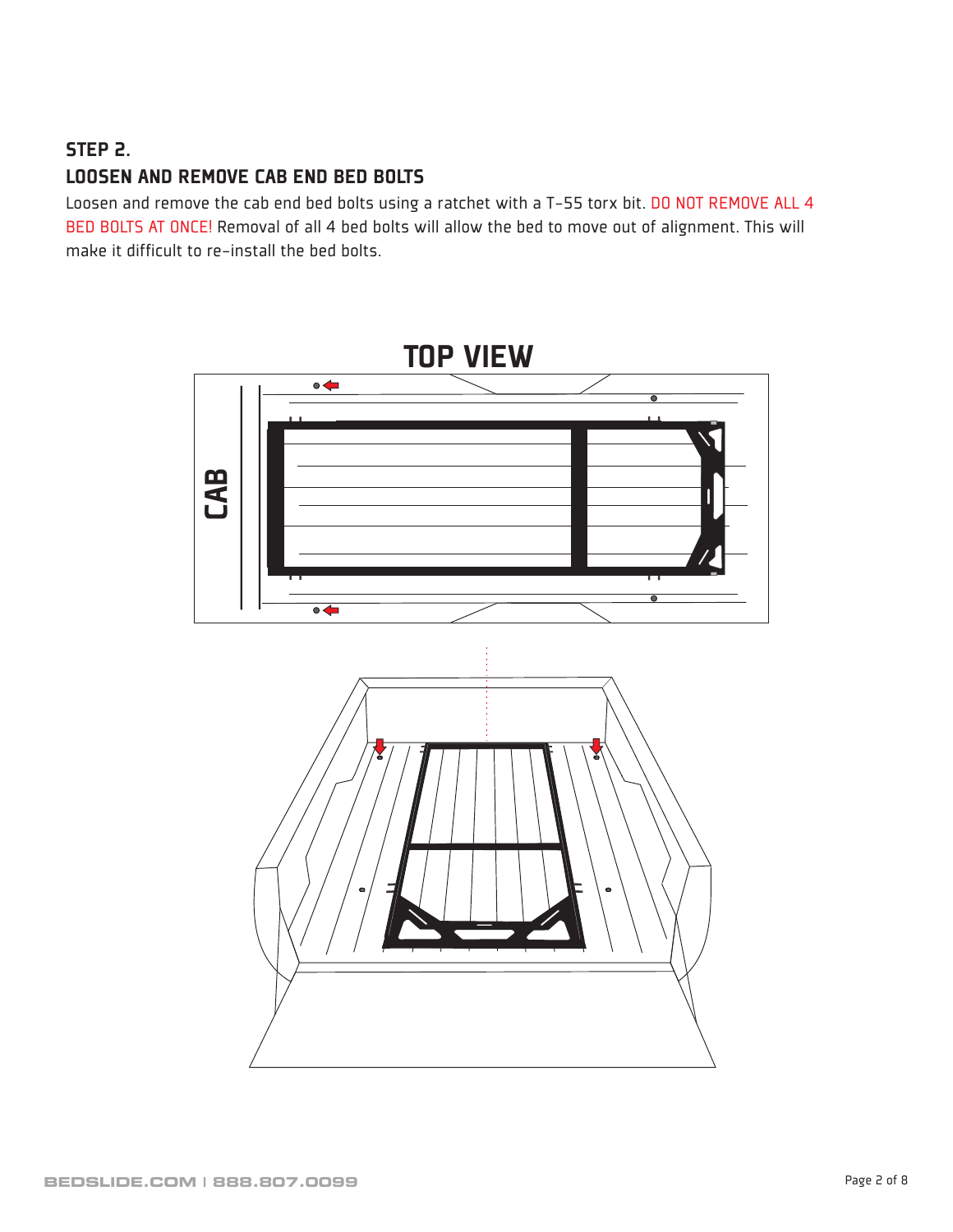### STEP 2.

### LOOSEN AND REMOVE CAB END BED BOLTS

Loosen and remove the cab end bed bolts using a ratchet with a T-55 torx bit. DO NOT REMOVE ALL 4 BED BOLTS AT ONCE! Removal of all 4 bed bolts will allow the bed to move out of alignment. This will make it difficult to re-install the bed bolts.

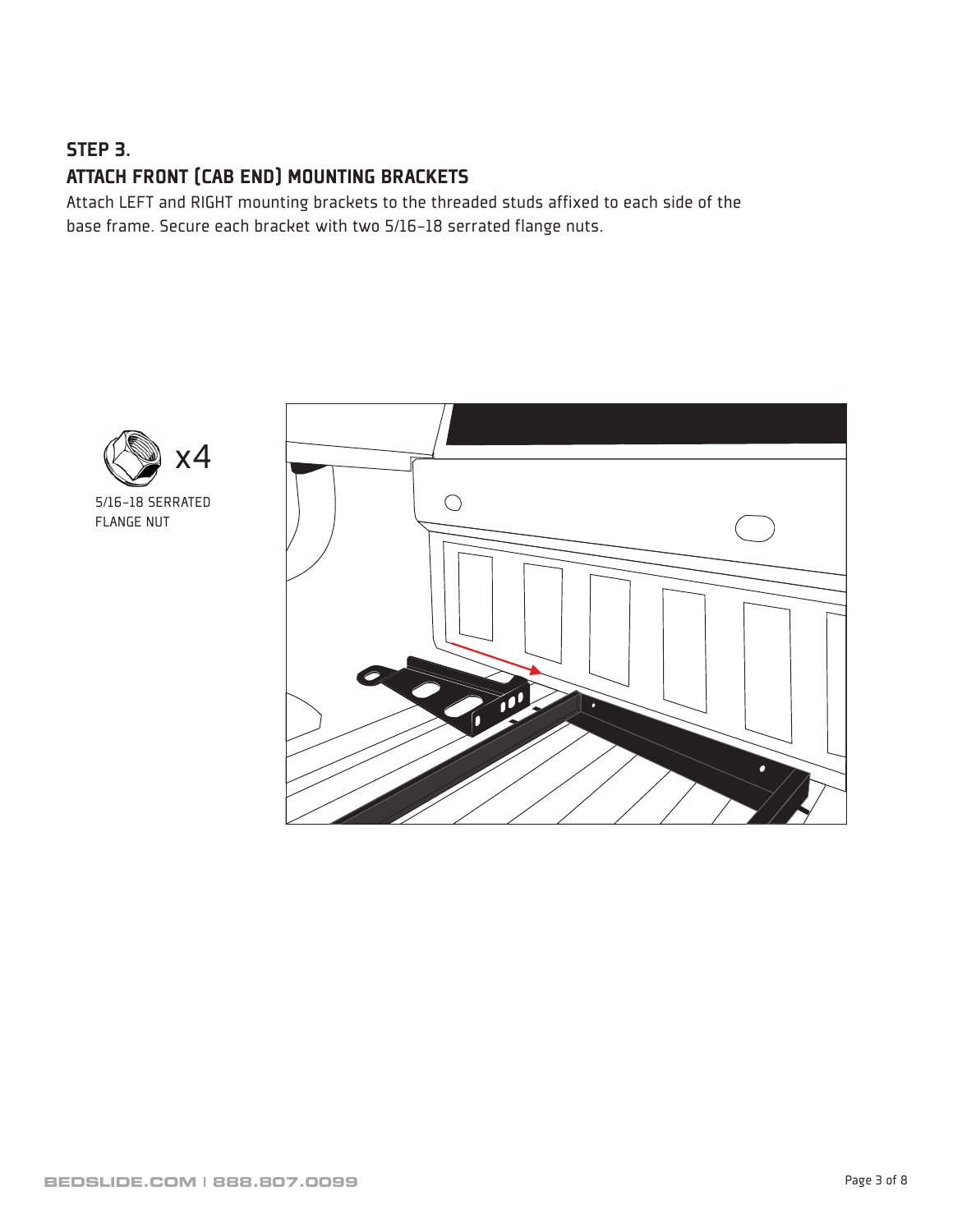# STEP 3. ATTACH FRONT (CAB END) MOUNTING BRACKETS

Attach LEFT and RIGHT mounting brackets to the threaded studs affixed to each side of the base frame. Secure each bracket with two 5/16-18 serrated flange nuts.



5/16-18 SERRATED FLANGE NUT

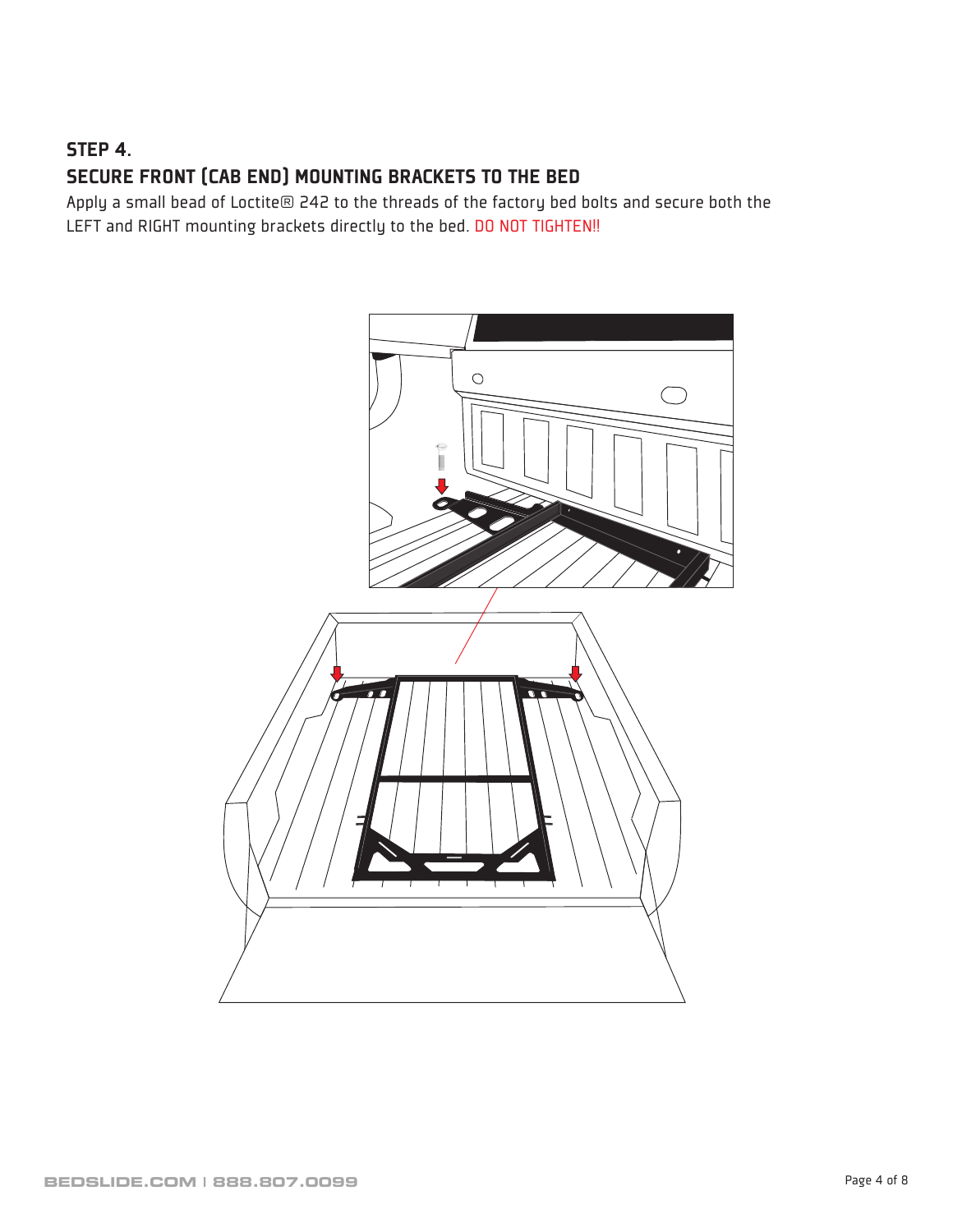# STEP 4. SECURE FRONT (CAB END) MOUNTING BRACKETS TO THE BED

Apply a small bead of Loctite® 242 to the threads of the factory bed bolts and secure both the LEFT and RIGHT mounting brackets directly to the bed. DO NOT TIGHTEN!!

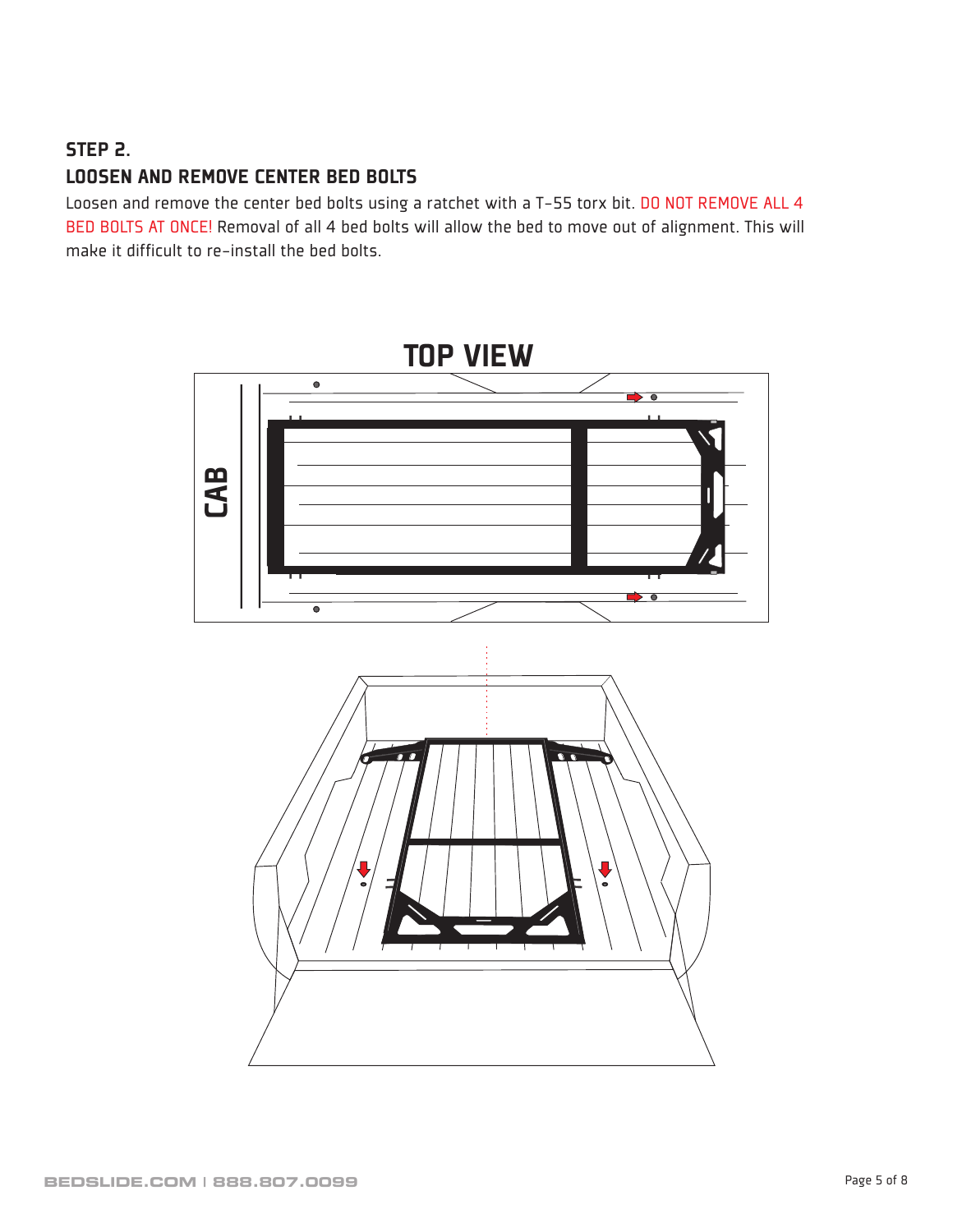### STEP 2.

### LOOSEN AND REMOVE CENTER BED BOLTS

Loosen and remove the center bed bolts using a ratchet with a T-55 torx bit. DO NOT REMOVE ALL 4 BED BOLTS AT ONCE! Removal of all 4 bed bolts will allow the bed to move out of alignment. This will make it difficult to re-install the bed bolts.

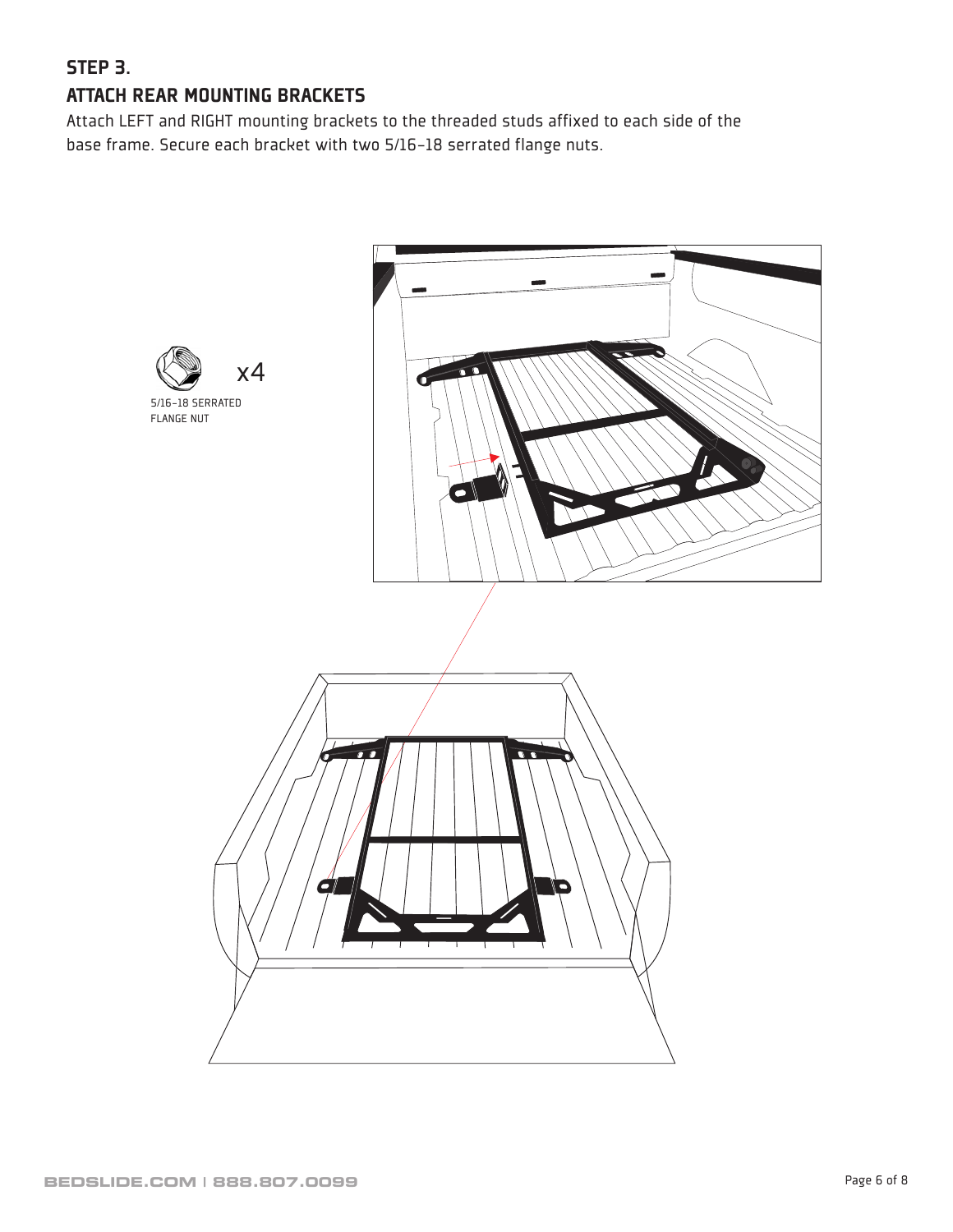# STEP 3. ATTACH REAR MOUNTING BRACKETS

Attach LEFT and RIGHT mounting brackets to the threaded studs affixed to each side of the base frame. Secure each bracket with two 5/16-18 serrated flange nuts.

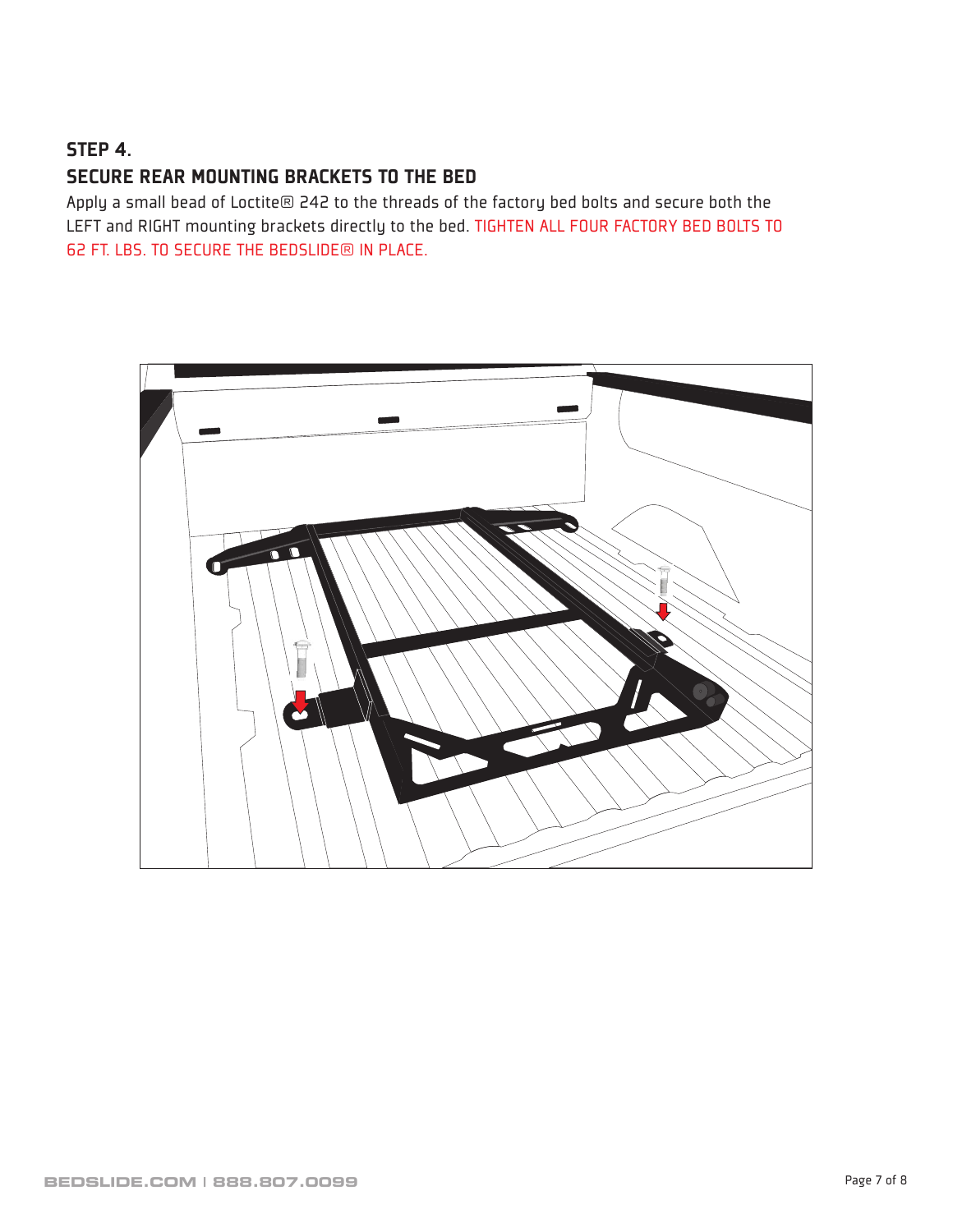## STEP 4.

### SECURE REAR MOUNTING BRACKETS TO THE BED

Apply a small bead of Loctite® 242 to the threads of the factory bed bolts and secure both the LEFT and RIGHT mounting brackets directly to the bed. TIGHTEN ALL FOUR FACTORY BED BOLTS TO 62 FT. LBS. TO SECURE THE BEDSLIDE® IN PLACE.